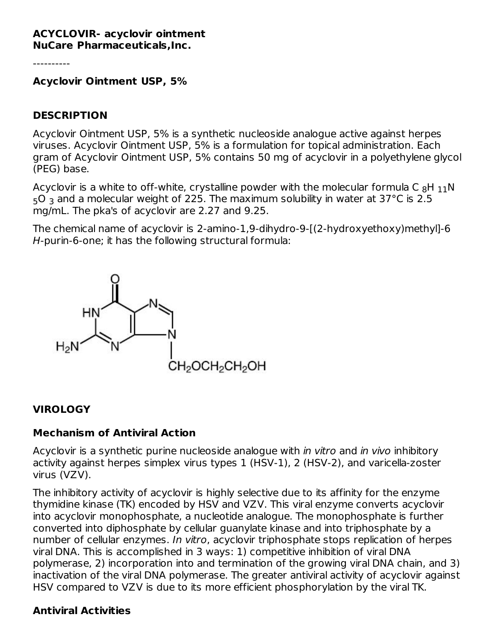#### **ACYCLOVIR- acyclovir ointment NuCare Pharmaceuticals,Inc.**

----------

**Acyclovir Ointment USP, 5%**

#### **DESCRIPTION**

Acyclovir Ointment USP, 5% is a synthetic nucleoside analogue active against herpes viruses. Acyclovir Ointment USP, 5% is a formulation for topical administration. Each gram of Acyclovir Ointment USP, 5% contains 50 mg of acyclovir in a polyethylene glycol (PEG) base.

Acyclovir is a white to off-white, crystalline powder with the molecular formula C  $_8\mathsf{H}\;_{11}\mathsf{N}$  $_5$ O  $_3$  and a molecular weight of 225. The maximum solubility in water at 37°C is 2.5 mg/mL. The pka's of acyclovir are 2.27 and 9.25.

The chemical name of acyclovir is 2-amino-1,9-dihydro-9-[(2-hydroxyethoxy)methyl]-6 H-purin-6-one; it has the following structural formula:



### **VIROLOGY**

#### **Mechanism of Antiviral Action**

Acyclovir is a synthetic purine nucleoside analogue with *in vitro* and *in vivo* inhibitory activity against herpes simplex virus types 1 (HSV-1), 2 (HSV-2), and varicella-zoster virus (VZV).

The inhibitory activity of acyclovir is highly selective due to its affinity for the enzyme thymidine kinase (TK) encoded by HSV and VZV. This viral enzyme converts acyclovir into acyclovir monophosphate, a nucleotide analogue. The monophosphate is further converted into diphosphate by cellular guanylate kinase and into triphosphate by a number of cellular enzymes. In vitro, acyclovir triphosphate stops replication of herpes viral DNA. This is accomplished in 3 ways: 1) competitive inhibition of viral DNA polymerase, 2) incorporation into and termination of the growing viral DNA chain, and 3) inactivation of the viral DNA polymerase. The greater antiviral activity of acyclovir against HSV compared to VZV is due to its more efficient phosphorylation by the viral TK.

### **Antiviral Activities**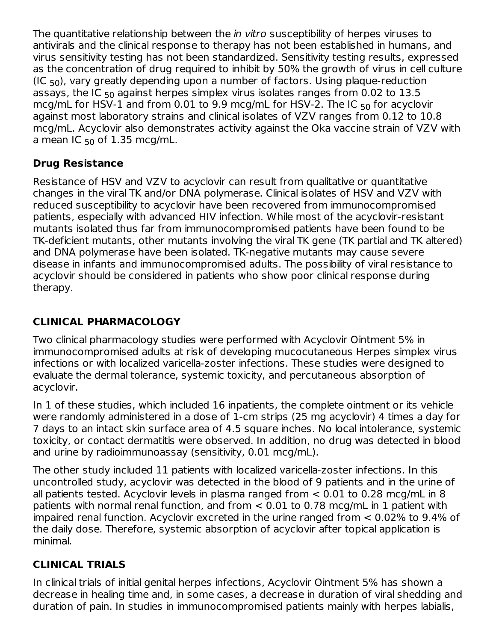The quantitative relationship between the *in vitro* susceptibility of herpes viruses to antivirals and the clinical response to therapy has not been established in humans, and virus sensitivity testing has not been standardized. Sensitivity testing results, expressed as the concentration of drug required to inhibit by 50% the growth of virus in cell culture (IC  $_{50}$ ), vary greatly depending upon a number of factors. Using plaque-reduction assays, the IC  $_{50}$  against herpes simplex virus isolates ranges from 0.02 to  $13.5\,$ mcg/mL for HSV-1 and from 0.01 to 9.9 mcg/mL for HSV-2. The IC  $_{50}$  for acyclovir against most laboratory strains and clinical isolates of VZV ranges from 0.12 to 10.8 mcg/mL. Acyclovir also demonstrates activity against the Oka vaccine strain of VZV with a mean IC  $_{50}$  of 1.35 mcg/mL.

# **Drug Resistance**

Resistance of HSV and VZV to acyclovir can result from qualitative or quantitative changes in the viral TK and/or DNA polymerase. Clinical isolates of HSV and VZV with reduced susceptibility to acyclovir have been recovered from immunocompromised patients, especially with advanced HIV infection. While most of the acyclovir-resistant mutants isolated thus far from immunocompromised patients have been found to be TK-deficient mutants, other mutants involving the viral TK gene (TK partial and TK altered) and DNA polymerase have been isolated. TK-negative mutants may cause severe disease in infants and immunocompromised adults. The possibility of viral resistance to acyclovir should be considered in patients who show poor clinical response during therapy.

# **CLINICAL PHARMACOLOGY**

Two clinical pharmacology studies were performed with Acyclovir Ointment 5% in immunocompromised adults at risk of developing mucocutaneous Herpes simplex virus infections or with localized varicella-zoster infections. These studies were designed to evaluate the dermal tolerance, systemic toxicity, and percutaneous absorption of acyclovir.

In 1 of these studies, which included 16 inpatients, the complete ointment or its vehicle were randomly administered in a dose of 1-cm strips (25 mg acyclovir) 4 times a day for 7 days to an intact skin surface area of 4.5 square inches. No local intolerance, systemic toxicity, or contact dermatitis were observed. In addition, no drug was detected in blood and urine by radioimmunoassay (sensitivity, 0.01 mcg/mL).

The other study included 11 patients with localized varicella-zoster infections. In this uncontrolled study, acyclovir was detected in the blood of 9 patients and in the urine of all patients tested. Acyclovir levels in plasma ranged from < 0.01 to 0.28 mcg/mL in 8 patients with normal renal function, and from < 0.01 to 0.78 mcg/mL in 1 patient with impaired renal function. Acyclovir excreted in the urine ranged from < 0.02% to 9.4% of the daily dose. Therefore, systemic absorption of acyclovir after topical application is minimal.

# **CLINICAL TRIALS**

In clinical trials of initial genital herpes infections, Acyclovir Ointment 5% has shown a decrease in healing time and, in some cases, a decrease in duration of viral shedding and duration of pain. In studies in immunocompromised patients mainly with herpes labialis,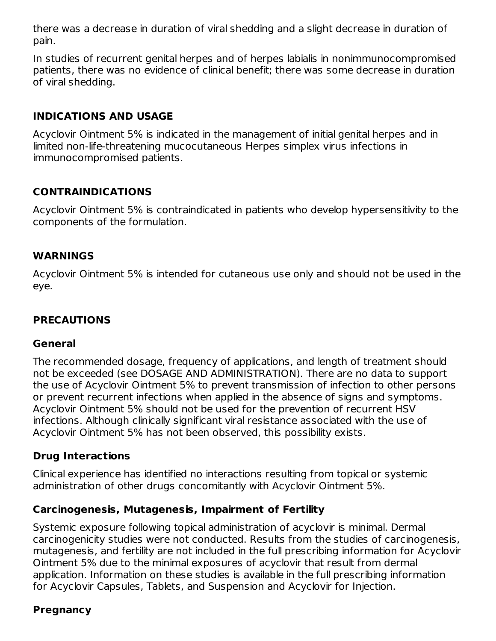there was a decrease in duration of viral shedding and a slight decrease in duration of pain.

In studies of recurrent genital herpes and of herpes labialis in nonimmunocompromised patients, there was no evidence of clinical benefit; there was some decrease in duration of viral shedding.

### **INDICATIONS AND USAGE**

Acyclovir Ointment 5% is indicated in the management of initial genital herpes and in limited non-life-threatening mucocutaneous Herpes simplex virus infections in immunocompromised patients.

## **CONTRAINDICATIONS**

Acyclovir Ointment 5% is contraindicated in patients who develop hypersensitivity to the components of the formulation.

#### **WARNINGS**

Acyclovir Ointment 5% is intended for cutaneous use only and should not be used in the eye.

### **PRECAUTIONS**

#### **General**

The recommended dosage, frequency of applications, and length of treatment should not be exceeded (see DOSAGE AND ADMINISTRATION). There are no data to support the use of Acyclovir Ointment 5% to prevent transmission of infection to other persons or prevent recurrent infections when applied in the absence of signs and symptoms. Acyclovir Ointment 5% should not be used for the prevention of recurrent HSV infections. Although clinically significant viral resistance associated with the use of Acyclovir Ointment 5% has not been observed, this possibility exists.

### **Drug Interactions**

Clinical experience has identified no interactions resulting from topical or systemic administration of other drugs concomitantly with Acyclovir Ointment 5%.

### **Carcinogenesis, Mutagenesis, Impairment of Fertility**

Systemic exposure following topical administration of acyclovir is minimal. Dermal carcinogenicity studies were not conducted. Results from the studies of carcinogenesis, mutagenesis, and fertility are not included in the full prescribing information for Acyclovir Ointment 5% due to the minimal exposures of acyclovir that result from dermal application. Information on these studies is available in the full prescribing information for Acyclovir Capsules, Tablets, and Suspension and Acyclovir for Injection.

### **Pregnancy**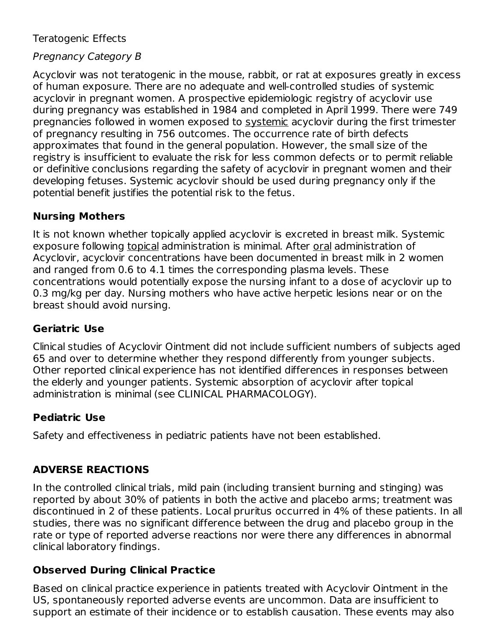### Teratogenic Effects

# Pregnancy Category B

Acyclovir was not teratogenic in the mouse, rabbit, or rat at exposures greatly in excess of human exposure. There are no adequate and well-controlled studies of systemic acyclovir in pregnant women. A prospective epidemiologic registry of acyclovir use during pregnancy was established in 1984 and completed in April 1999. There were 749 pregnancies followed in women exposed to systemic acyclovir during the first trimester of pregnancy resulting in 756 outcomes. The occurrence rate of birth defects approximates that found in the general population. However, the small size of the registry is insufficient to evaluate the risk for less common defects or to permit reliable or definitive conclusions regarding the safety of acyclovir in pregnant women and their developing fetuses. Systemic acyclovir should be used during pregnancy only if the potential benefit justifies the potential risk to the fetus.

### **Nursing Mothers**

It is not known whether topically applied acyclovir is excreted in breast milk. Systemic exposure following topical administration is minimal. After oral administration of Acyclovir, acyclovir concentrations have been documented in breast milk in 2 women and ranged from 0.6 to 4.1 times the corresponding plasma levels. These concentrations would potentially expose the nursing infant to a dose of acyclovir up to 0.3 mg/kg per day. Nursing mothers who have active herpetic lesions near or on the breast should avoid nursing.

### **Geriatric Use**

Clinical studies of Acyclovir Ointment did not include sufficient numbers of subjects aged 65 and over to determine whether they respond differently from younger subjects. Other reported clinical experience has not identified differences in responses between the elderly and younger patients. Systemic absorption of acyclovir after topical administration is minimal (see CLINICAL PHARMACOLOGY).

### **Pediatric Use**

Safety and effectiveness in pediatric patients have not been established.

# **ADVERSE REACTIONS**

In the controlled clinical trials, mild pain (including transient burning and stinging) was reported by about 30% of patients in both the active and placebo arms; treatment was discontinued in 2 of these patients. Local pruritus occurred in 4% of these patients. In all studies, there was no significant difference between the drug and placebo group in the rate or type of reported adverse reactions nor were there any differences in abnormal clinical laboratory findings.

### **Observed During Clinical Practice**

Based on clinical practice experience in patients treated with Acyclovir Ointment in the US, spontaneously reported adverse events are uncommon. Data are insufficient to support an estimate of their incidence or to establish causation. These events may also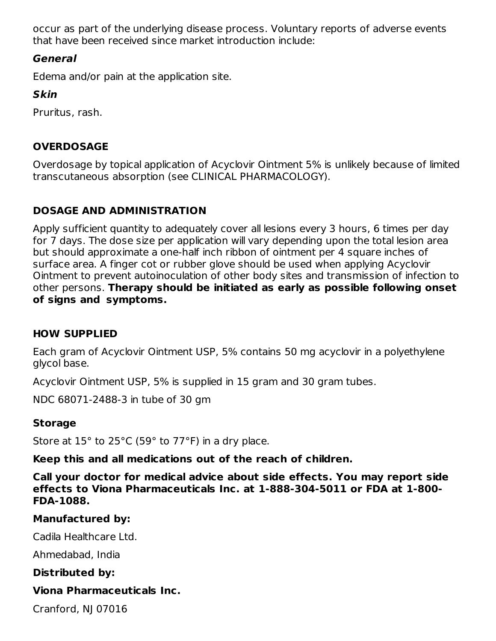occur as part of the underlying disease process. Voluntary reports of adverse events that have been received since market introduction include:

## **General**

Edema and/or pain at the application site.

# **Skin**

Pruritus, rash.

# **OVERDOSAGE**

Overdosage by topical application of Acyclovir Ointment 5% is unlikely because of limited transcutaneous absorption (see CLINICAL PHARMACOLOGY).

# **DOSAGE AND ADMINISTRATION**

Apply sufficient quantity to adequately cover all lesions every 3 hours, 6 times per day for 7 days. The dose size per application will vary depending upon the total lesion area but should approximate a one-half inch ribbon of ointment per 4 square inches of surface area. A finger cot or rubber glove should be used when applying Acyclovir Ointment to prevent autoinoculation of other body sites and transmission of infection to other persons. **Therapy should be initiated as early as possible following onset of signs and symptoms.**

### **HOW SUPPLIED**

Each gram of Acyclovir Ointment USP, 5% contains 50 mg acyclovir in a polyethylene glycol base.

Acyclovir Ointment USP, 5% is supplied in 15 gram and 30 gram tubes.

NDC 68071-2488-3 in tube of 30 gm

# **Storage**

Store at  $15^{\circ}$  to 25 $^{\circ}$ C (59 $^{\circ}$  to 77 $^{\circ}$ F) in a dry place.

**Keep this and all medications out of the reach of children.**

**Call your doctor for medical advice about side effects. You may report side effects to Viona Pharmaceuticals Inc. at 1-888-304-5011 or FDA at 1-800- FDA-1088.**

### **Manufactured by:**

Cadila Healthcare Ltd.

Ahmedabad, India

**Distributed by:**

# **Viona Pharmaceuticals Inc.**

Cranford, NJ 07016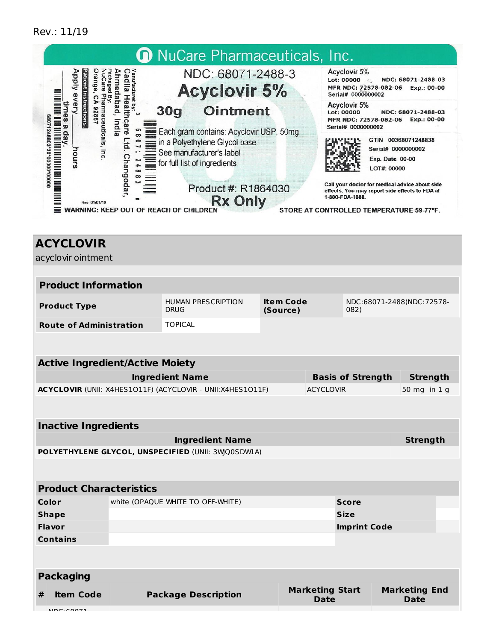#### Rev.: 11/19



| <b>Product Characteristics</b> |
|--------------------------------|
|                                |

| Color            |                  | white (OPAQUE WHITE TO OFF-WHITE) |                                | <b>Score</b>        |                              |  |
|------------------|------------------|-----------------------------------|--------------------------------|---------------------|------------------------------|--|
| <b>Shape</b>     |                  |                                   |                                | <b>Size</b>         |                              |  |
| <b>Flavor</b>    |                  |                                   |                                | <b>Imprint Code</b> |                              |  |
| <b>Contains</b>  |                  |                                   |                                |                     |                              |  |
|                  |                  |                                   |                                |                     |                              |  |
|                  |                  |                                   |                                |                     |                              |  |
| <b>Packaging</b> |                  |                                   |                                |                     |                              |  |
| #                | <b>Item Code</b> | <b>Package Description</b>        | <b>Marketing Start</b><br>Date |                     | <b>Marketing End</b><br>Date |  |